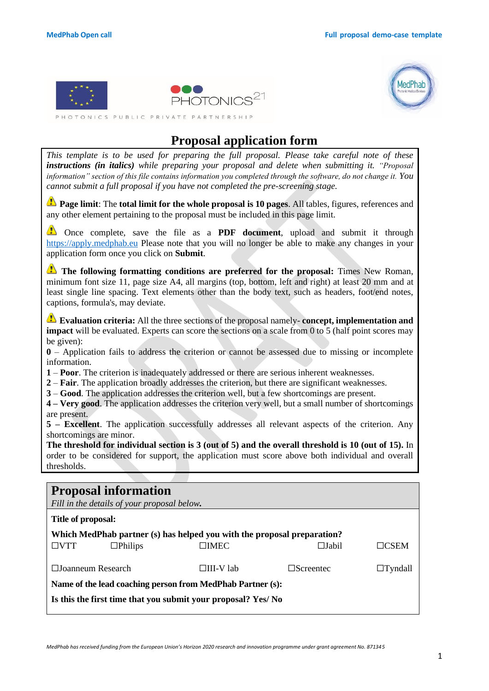



PHOTONICS PUBLIC PRIVATE PARTNERSHIP

# **Proposal application form**

*This template is to be used for preparing the full proposal. Please take careful note of these instructions (in italics) while preparing your proposal and delete when submitting it. "Proposal information" section of this file contains information you completed through the software, do not change it. You cannot submit a full proposal if you have not completed the pre-screening stage.*

**Page limit**: The **total limit for the whole proposal is 10 pages**. All tables, figures, references and any other element pertaining to the proposal must be included in this page limit.

Once complete, save the file as a **PDF document**, upload and submit it through [https://apply.medphab.eu](https://apply.medphab.eu/) Please note that you will no longer be able to make any changes in your application form once you click on **Submit**.

**The following formatting conditions are preferred for the proposal:** Times New Roman, minimum font size 11, page size A4, all margins (top, bottom, left and right) at least 20 mm and at least single line spacing. Text elements other than the body text, such as headers, foot/end notes, captions, formula's, may deviate.

**Evaluation criteria:** All the three sections of the proposal namely- **concept, implementation and impact** will be evaluated. Experts can score the sections on a scale from 0 to 5 (half point scores may be given):

**0** – Application fails to address the criterion or cannot be assessed due to missing or incomplete information.

**1** – **Poor**. The criterion is inadequately addressed or there are serious inherent weaknesses.

**2** – **Fair**. The application broadly addresses the criterion, but there are significant weaknesses.

**3** – **Good**. The application addresses the criterion well, but a few shortcomings are present.

**4 – Very good**. The application addresses the criterion very well, but a small number of shortcomings are present.

**5 – Excellent**. The application successfully addresses all relevant aspects of the criterion. Any shortcomings are minor.

**The threshold for individual section is 3 (out of 5) and the overall threshold is 10 (out of 15).** In order to be considered for support, the application must score above both individual and overall thresholds.

|                    | <b>Proposal information</b><br>Fill in the details of your proposal below. |                                                                         |                  |                      |
|--------------------|----------------------------------------------------------------------------|-------------------------------------------------------------------------|------------------|----------------------|
| Title of proposal: |                                                                            |                                                                         |                  |                      |
|                    |                                                                            | Which MedPhab partner (s) has helped you with the proposal preparation? |                  |                      |
| $\Box VTT$         | $\Box$ Philips                                                             | $\Box$ IMEC                                                             | □Jabil           | $\sqcap_{\rm{CSEM}}$ |
|                    | $\Box$ Ioanneum Research                                                   | $\Box$ III-V lab                                                        | $\Box$ Screentec | $\Box$ Tyndall       |
|                    |                                                                            | Name of the lead coaching person from MedPhab Partner (s):              |                  |                      |
|                    |                                                                            | Is this the first time that you submit your proposal? Yes/No            |                  |                      |
|                    |                                                                            |                                                                         |                  |                      |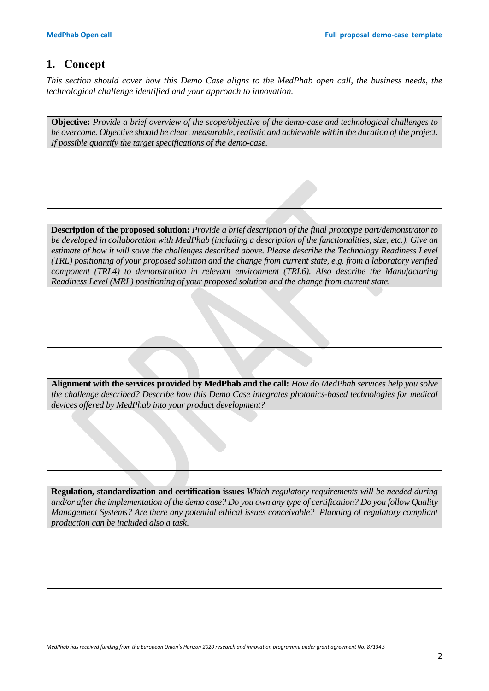### **1. Concept**

*This section should cover how this Demo Case aligns to the MedPhab open call, the business needs, the technological challenge identified and your approach to innovation.*

**Objective:** *Provide a brief overview of the scope/objective of the demo-case and technological challenges to be overcome. Objective should be clear, measurable, realistic and achievable within the duration of the project. If possible quantify the target specifications of the demo-case.*

**Description of the proposed solution:** *Provide a brief description of the final prototype part/demonstrator to be developed in collaboration with MedPhab (including a description of the functionalities, size, etc.). Give an estimate of how it will solve the challenges described above. Please describe the Technology Readiness Level (TRL) positioning of your proposed solution and the change from current state, e.g. from a laboratory verified component (TRL4) to demonstration in relevant environment (TRL6). Also describe the Manufacturing Readiness Level (MRL) positioning of your proposed solution and the change from current state.*

**Alignment with the services provided by MedPhab and the call:** *How do MedPhab services help you solve the challenge described? Describe how this Demo Case integrates photonics-based technologies for medical devices offered by MedPhab into your product development?*

**Regulation, standardization and certification issues** *Which regulatory requirements will be needed during and/or after the implementation of the demo case? Do you own any type of certification? Do you follow Quality Management Systems? Are there any potential ethical issues conceivable? Planning of regulatory compliant production can be included also a task*.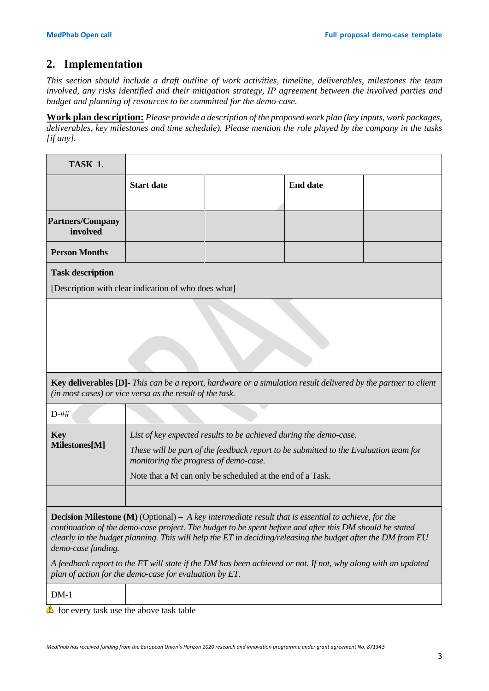# **2. Implementation**

*This section should include a draft outline of work activities, timeline, deliverables, milestones the team involved, any risks identified and their mitigation strategy, IP agreement between the involved parties and budget and planning of resources to be committed for the demo-case.*

**Work plan description:** *Please provide a description of the proposed work plan (key inputs, work packages, deliverables, key milestones and time schedule). Please mention the role played by the company in the tasks [if any].*

| <b>TASK 1.</b>                                                                                                                                                                                                                                                                                                                                             |                                                                                                                                                                                                                                                                 |                                                                                                                       |                 |  |  |  |  |  |
|------------------------------------------------------------------------------------------------------------------------------------------------------------------------------------------------------------------------------------------------------------------------------------------------------------------------------------------------------------|-----------------------------------------------------------------------------------------------------------------------------------------------------------------------------------------------------------------------------------------------------------------|-----------------------------------------------------------------------------------------------------------------------|-----------------|--|--|--|--|--|
|                                                                                                                                                                                                                                                                                                                                                            | <b>Start date</b>                                                                                                                                                                                                                                               |                                                                                                                       | <b>End date</b> |  |  |  |  |  |
| <b>Partners/Company</b><br>involved                                                                                                                                                                                                                                                                                                                        |                                                                                                                                                                                                                                                                 |                                                                                                                       |                 |  |  |  |  |  |
| <b>Person Months</b>                                                                                                                                                                                                                                                                                                                                       |                                                                                                                                                                                                                                                                 |                                                                                                                       |                 |  |  |  |  |  |
| <b>Task description</b>                                                                                                                                                                                                                                                                                                                                    | [Description with clear indication of who does what]                                                                                                                                                                                                            |                                                                                                                       |                 |  |  |  |  |  |
|                                                                                                                                                                                                                                                                                                                                                            |                                                                                                                                                                                                                                                                 |                                                                                                                       |                 |  |  |  |  |  |
|                                                                                                                                                                                                                                                                                                                                                            | (in most cases) or vice versa as the result of the task.                                                                                                                                                                                                        | <b>Key deliverables [D]-</b> This can be a report, hardware or a simulation result delivered by the partner to client |                 |  |  |  |  |  |
| $D-$ ##                                                                                                                                                                                                                                                                                                                                                    |                                                                                                                                                                                                                                                                 |                                                                                                                       |                 |  |  |  |  |  |
| <b>Key</b><br>Milestones[M]                                                                                                                                                                                                                                                                                                                                | List of key expected results to be achieved during the demo-case.<br>These will be part of the feedback report to be submitted to the Evaluation team for<br>monitoring the progress of demo-case.<br>Note that a M can only be scheduled at the end of a Task. |                                                                                                                       |                 |  |  |  |  |  |
|                                                                                                                                                                                                                                                                                                                                                            |                                                                                                                                                                                                                                                                 |                                                                                                                       |                 |  |  |  |  |  |
| <b>Decision Milestone (M)</b> (Optional) – A key intermediate result that is essential to achieve, for the<br>continuation of the demo-case project. The budget to be spent before and after this DM should be stated<br>clearly in the budget planning. This will help the ET in deciding/releasing the budget after the DM from EU<br>demo-case funding. |                                                                                                                                                                                                                                                                 |                                                                                                                       |                 |  |  |  |  |  |
|                                                                                                                                                                                                                                                                                                                                                            | plan of action for the demo-case for evaluation by ET.                                                                                                                                                                                                          | A feedback report to the ET will state if the DM has been achieved or not. If not, why along with an updated          |                 |  |  |  |  |  |

DM-1

 $\triangle$  for every task use the above task table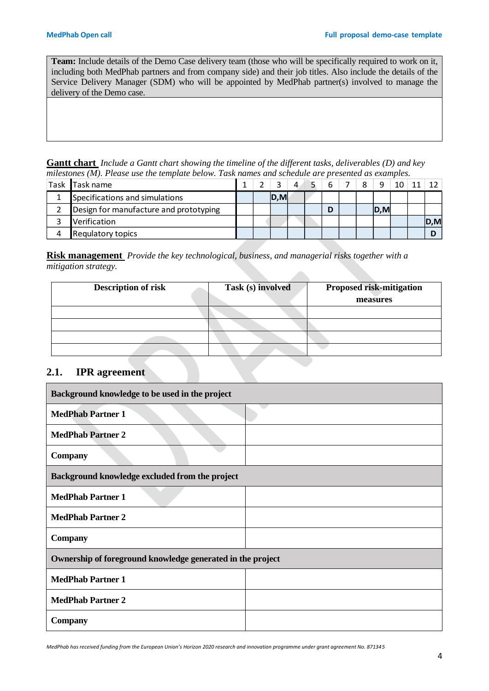**Team:** Include details of the Demo Case delivery team (those who will be specifically required to work on it, including both MedPhab partners and from company side) and their job titles. Also include the details of the Service Delivery Manager (SDM) who will be appointed by MedPhab partner(s) involved to manage the delivery of the Demo case.

**Gantt chart** *Include a Gantt chart showing the timeline of the different tasks, deliverables (D) and key milestones (M). Please use the template below. Task names and schedule are presented as examples.*

| Task | <b>Task name</b>                       |  |      | 4 | 6 | 8 |     |  |      |
|------|----------------------------------------|--|------|---|---|---|-----|--|------|
|      | Specifications and simulations         |  | D, M |   |   |   |     |  |      |
|      | Design for manufacture and prototyping |  |      |   | D |   | D,M |  |      |
|      | Verification                           |  |      |   |   |   |     |  | D, M |
|      | <b>Requlatory topics</b>               |  |      |   |   |   |     |  |      |

**Risk management** *Provide the key technological, business, and managerial risks together with a mitigation strategy.* 

| <b>Description of risk</b> | Task (s) involved | <b>Proposed risk-mitigation</b><br>measures |
|----------------------------|-------------------|---------------------------------------------|
|                            |                   |                                             |
|                            |                   |                                             |
|                            |                   |                                             |
|                            |                   |                                             |

#### **2.1. IPR agreement**

| Background knowledge to be used in the project             |  |
|------------------------------------------------------------|--|
| <b>MedPhab Partner 1</b>                                   |  |
| <b>MedPhab Partner 2</b>                                   |  |
| <b>Company</b>                                             |  |
| Background knowledge excluded from the project             |  |
| <b>MedPhab Partner 1</b>                                   |  |
| <b>MedPhab Partner 2</b>                                   |  |
| <b>Company</b>                                             |  |
| Ownership of foreground knowledge generated in the project |  |
| <b>MedPhab Partner 1</b>                                   |  |
| <b>MedPhab Partner 2</b>                                   |  |
| <b>Company</b>                                             |  |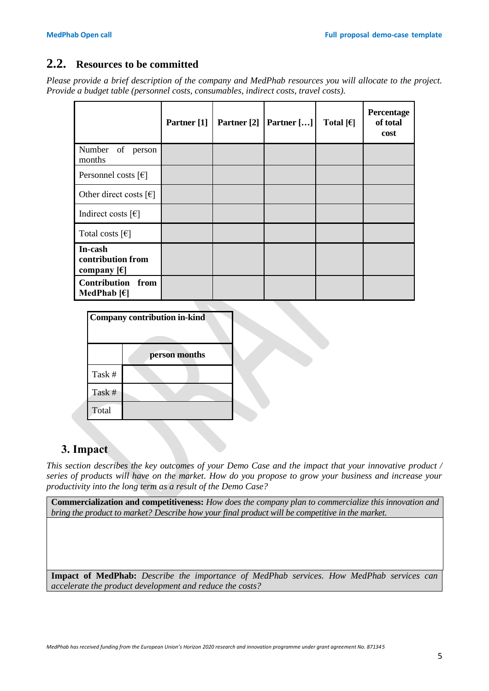### **2.2. Resources to be committed**

*Please provide a brief description of the company and MedPhab resources you will allocate to the project. Provide a budget table (personnel costs, consumables, indirect costs, travel costs).* 

|                                                         | Partner [1] | Partner [2] | Partner $[]$ | Total $[6]$ | Percentage<br>of total<br>cost |
|---------------------------------------------------------|-------------|-------------|--------------|-------------|--------------------------------|
| Number of<br>person<br>months                           |             |             |              |             |                                |
| Personnel costs $\lceil \epsilon \rceil$                |             |             |              |             |                                |
| Other direct costs $\lceil \epsilon \rceil$             |             |             |              |             |                                |
| Indirect costs $[\mathcal{E}]$                          |             |             |              |             |                                |
| Total costs $\lceil \epsilon \rceil$                    |             |             |              |             |                                |
| In-cash<br>contribution from<br>company $[\mathcal{E}]$ |             |             |              |             |                                |
| <b>Contribution from</b><br>MedPhab $[6]$               |             |             |              |             |                                |

|        | Company contribution in-kind |  |
|--------|------------------------------|--|
|        | person months                |  |
| Task # |                              |  |
| Task # |                              |  |
| Total  |                              |  |

## **3. Impact**

*This section describes the key outcomes of your Demo Case and the impact that your innovative product / series of products will have on the market. How do you propose to grow your business and increase your productivity into the long term as a result of the Demo Case?*

**Commercialization and competitiveness:** *How does the company plan to commercialize this innovation and bring the product to market? Describe how your final product will be competitive in the market.*

**Impact of MedPhab:** *Describe the importance of MedPhab services. How MedPhab services can accelerate the product development and reduce the costs?*